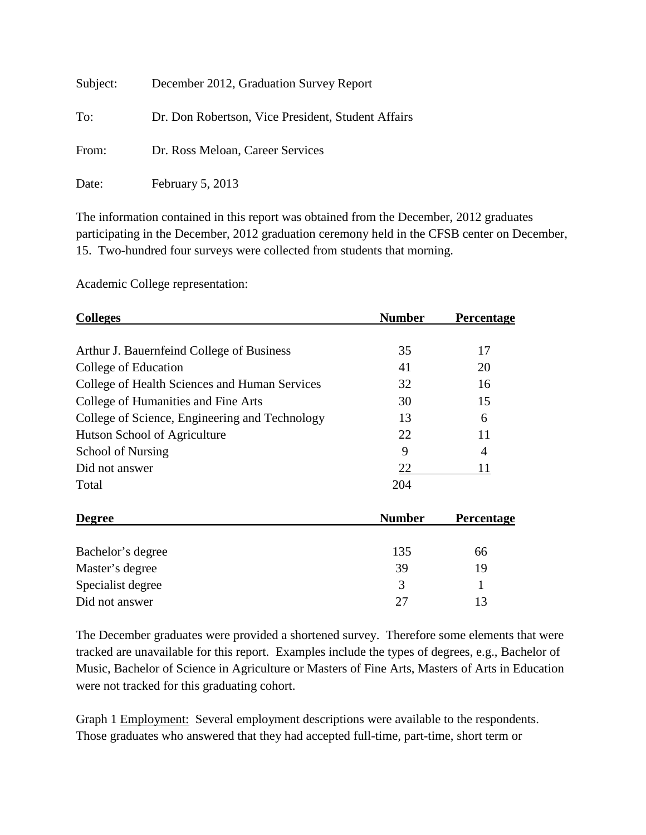| Subject: | December 2012, Graduation Survey Report            |
|----------|----------------------------------------------------|
| To:      | Dr. Don Robertson, Vice President, Student Affairs |
| From:    | Dr. Ross Meloan, Career Services                   |
| Date:    | February 5, 2013                                   |

The information contained in this report was obtained from the December, 2012 graduates participating in the December, 2012 graduation ceremony held in the CFSB center on December, 15. Two-hundred four surveys were collected from students that morning.

Academic College representation:

| <b>Colleges</b>                                | <b>Number</b> | <b>Percentage</b> |
|------------------------------------------------|---------------|-------------------|
|                                                |               |                   |
| Arthur J. Bauernfeind College of Business      | 35            | 17                |
| College of Education                           | 41            | 20                |
| College of Health Sciences and Human Services  | 32            | 16                |
| College of Humanities and Fine Arts            | 30            | 15                |
| College of Science, Engineering and Technology | 13            | 6                 |
| Hutson School of Agriculture                   | 22            | 11                |
| School of Nursing                              | 9             | $\overline{4}$    |
| Did not answer                                 | 22            | 11                |
| Total                                          | 204           |                   |
| <b>Degree</b>                                  | <b>Number</b> | Percentage        |
| Bachelor's degree                              | 135           | 66                |
| Master's degree                                | 39            | 19                |

Specialist degree 3 1 Did not answer 27 13

The December graduates were provided a shortened survey. Therefore some elements that were tracked are unavailable for this report. Examples include the types of degrees, e.g., Bachelor of Music, Bachelor of Science in Agriculture or Masters of Fine Arts, Masters of Arts in Education were not tracked for this graduating cohort.

Graph 1 Employment: Several employment descriptions were available to the respondents. Those graduates who answered that they had accepted full-time, part-time, short term or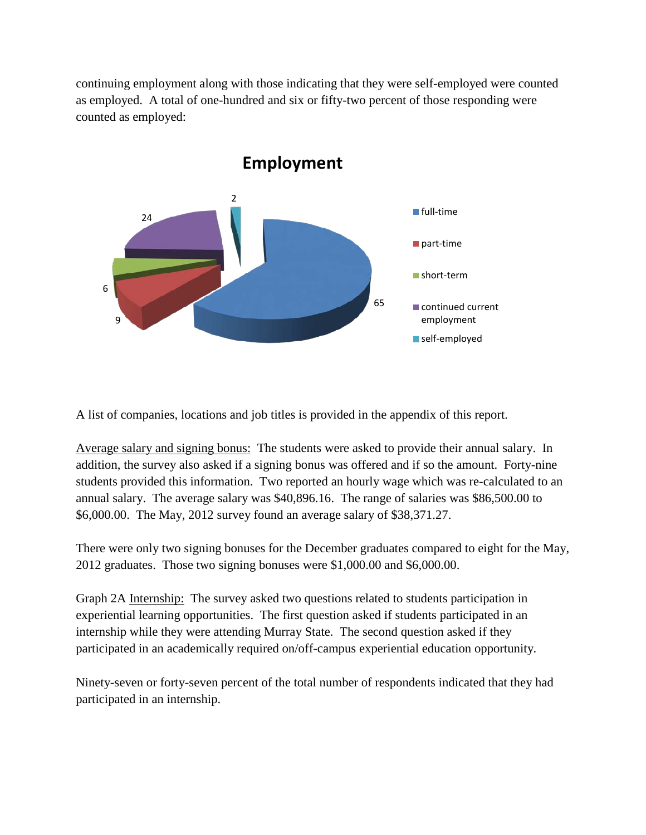continuing employment along with those indicating that they were self-employed were counted as employed. A total of one-hundred and six or fifty-two percent of those responding were counted as employed:



A list of companies, locations and job titles is provided in the appendix of this report.

Average salary and signing bonus: The students were asked to provide their annual salary. In addition, the survey also asked if a signing bonus was offered and if so the amount. Forty-nine students provided this information. Two reported an hourly wage which was re-calculated to an annual salary. The average salary was \$40,896.16. The range of salaries was \$86,500.00 to \$6,000.00. The May, 2012 survey found an average salary of \$38,371.27.

There were only two signing bonuses for the December graduates compared to eight for the May, 2012 graduates. Those two signing bonuses were \$1,000.00 and \$6,000.00.

Graph 2A Internship: The survey asked two questions related to students participation in experiential learning opportunities. The first question asked if students participated in an internship while they were attending Murray State. The second question asked if they participated in an academically required on/off-campus experiential education opportunity.

Ninety-seven or forty-seven percent of the total number of respondents indicated that they had participated in an internship.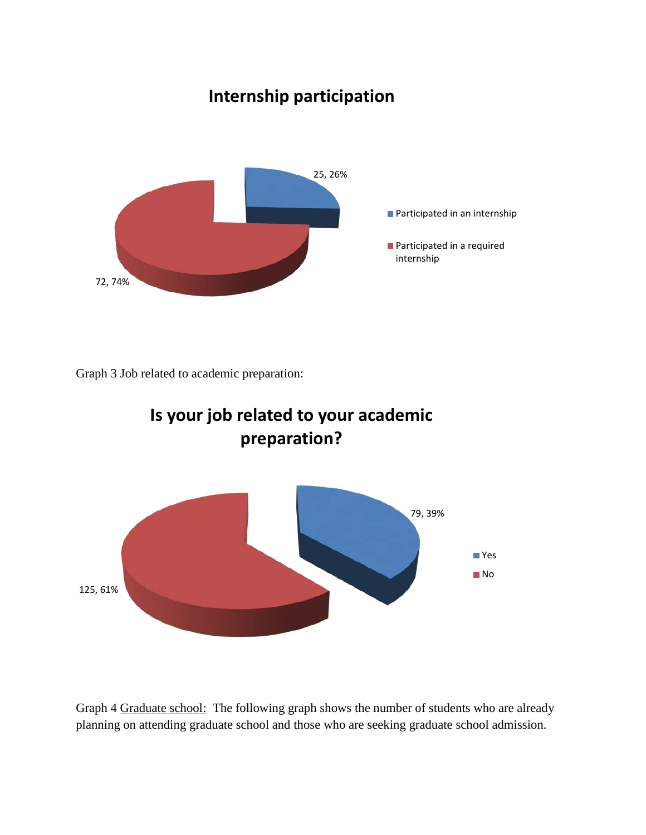# **Internship participation**



Graph 3 Job related to academic preparation:



Graph 4 Graduate school: The following graph shows the number of students who are already planning on attending graduate school and those who are seeking graduate school admission.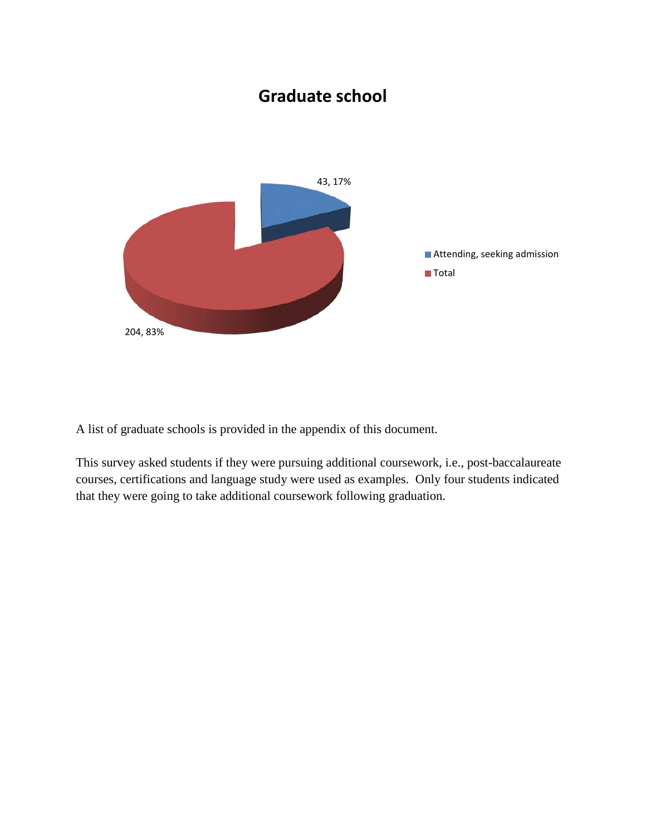### **Graduate school**



A list of graduate schools is provided in the appendix of this document.

This survey asked students if they were pursuing additional coursework, i.e., post-baccalaureate courses, certifications and language study were used as examples. Only four students indicated that they were going to take additional coursework following graduation.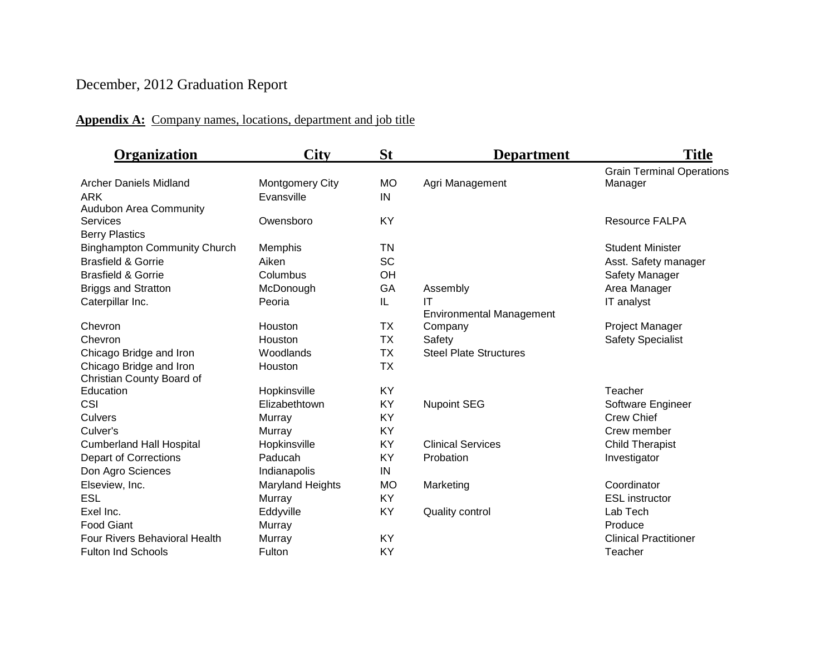## December, 2012 Graduation Report

#### **Appendix A:** Company names, locations, department and job title

| Organization                         | <b>City</b>            | <b>St</b> | <b>Department</b>               | <b>Title</b>                     |
|--------------------------------------|------------------------|-----------|---------------------------------|----------------------------------|
|                                      |                        |           |                                 | <b>Grain Terminal Operations</b> |
| <b>Archer Daniels Midland</b>        | <b>Montgomery City</b> | <b>MO</b> | Agri Management                 | Manager                          |
| <b>ARK</b>                           | Evansville             | IN        |                                 |                                  |
| Audubon Area Community               |                        |           |                                 |                                  |
| <b>Services</b>                      | Owensboro              | KY        |                                 | <b>Resource FALPA</b>            |
| <b>Berry Plastics</b>                |                        |           |                                 |                                  |
| <b>Binghampton Community Church</b>  | Memphis                | TN        |                                 | <b>Student Minister</b>          |
| <b>Brasfield &amp; Gorrie</b>        | Aiken                  | <b>SC</b> |                                 | Asst. Safety manager             |
| <b>Brasfield &amp; Gorrie</b>        | Columbus               | OH        |                                 | Safety Manager                   |
| <b>Briggs and Stratton</b>           | McDonough              | GA        | Assembly                        | Area Manager                     |
| Caterpillar Inc.                     | Peoria                 | IL        | IT                              | IT analyst                       |
|                                      |                        |           | <b>Environmental Management</b> |                                  |
| Chevron                              | Houston                | <b>TX</b> | Company                         | Project Manager                  |
| Chevron                              | Houston                | ТX        | Safety                          | <b>Safety Specialist</b>         |
| Chicago Bridge and Iron              | Woodlands              | <b>TX</b> | <b>Steel Plate Structures</b>   |                                  |
| Chicago Bridge and Iron              | Houston                | <b>TX</b> |                                 |                                  |
| Christian County Board of            |                        |           |                                 |                                  |
| Education                            | Hopkinsville           | KY        |                                 | Teacher                          |
| CSI                                  | Elizabethtown          | <b>KY</b> | <b>Nupoint SEG</b>              | Software Engineer                |
| Culvers                              | Murray                 | KY        |                                 | <b>Crew Chief</b>                |
| Culver's                             | Murray                 | <b>KY</b> |                                 | Crew member                      |
| <b>Cumberland Hall Hospital</b>      | Hopkinsville           | <b>KY</b> | <b>Clinical Services</b>        | <b>Child Therapist</b>           |
| <b>Depart of Corrections</b>         | Paducah                | KY        | Probation                       | Investigator                     |
| Don Agro Sciences                    | Indianapolis           | IN        |                                 |                                  |
| Elseview, Inc.                       | Maryland Heights       | <b>MO</b> | Marketing                       | Coordinator                      |
| <b>ESL</b>                           | Murray                 | <b>KY</b> |                                 | <b>ESL</b> instructor            |
| Exel Inc.                            | Eddyville              | KY        | Quality control                 | Lab Tech                         |
| <b>Food Giant</b>                    | Murray                 |           |                                 | Produce                          |
| <b>Four Rivers Behavioral Health</b> | Murray                 | KY        |                                 | <b>Clinical Practitioner</b>     |
| <b>Fulton Ind Schools</b>            | Fulton                 | KY        |                                 | Teacher                          |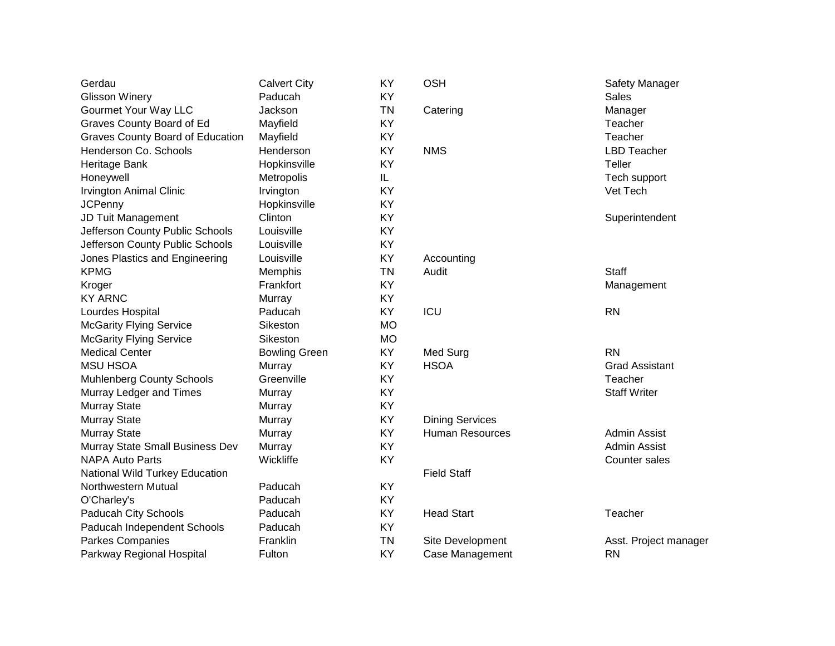| Gerdau                           | <b>Calvert City</b>  | KY        | <b>OSH</b>             | Safety Manager        |
|----------------------------------|----------------------|-----------|------------------------|-----------------------|
| <b>Glisson Winery</b>            | Paducah              | KY        |                        | <b>Sales</b>          |
| Gourmet Your Way LLC             | Jackson              | <b>TN</b> | Catering               | Manager               |
| Graves County Board of Ed        | Mayfield             | KY        |                        | Teacher               |
| Graves County Board of Education | Mayfield             | KY        |                        | Teacher               |
| Henderson Co. Schools            | Henderson            | KY        | <b>NMS</b>             | <b>LBD Teacher</b>    |
| Heritage Bank                    | Hopkinsville         | KY        |                        | Teller                |
| Honeywell                        | Metropolis           | IL.       |                        | Tech support          |
| <b>Irvington Animal Clinic</b>   | Irvington            | KY        |                        | Vet Tech              |
| <b>JCPenny</b>                   | Hopkinsville         | KY        |                        |                       |
| JD Tuit Management               | Clinton              | KY        |                        | Superintendent        |
| Jefferson County Public Schools  | Louisville           | KY        |                        |                       |
| Jefferson County Public Schools  | Louisville           | KY        |                        |                       |
| Jones Plastics and Engineering   | Louisville           | KY        | Accounting             |                       |
| <b>KPMG</b>                      | Memphis              | <b>TN</b> | Audit                  | <b>Staff</b>          |
| Kroger                           | Frankfort            | KY        |                        | Management            |
| <b>KY ARNC</b>                   | Murray               | KY        |                        |                       |
| Lourdes Hospital                 | Paducah              | KY        | ICU                    | <b>RN</b>             |
| <b>McGarity Flying Service</b>   | Sikeston             | <b>MO</b> |                        |                       |
| <b>McGarity Flying Service</b>   | Sikeston             | <b>MO</b> |                        |                       |
| <b>Medical Center</b>            | <b>Bowling Green</b> | KY        | Med Surg               | <b>RN</b>             |
| <b>MSU HSOA</b>                  | Murray               | KY        | <b>HSOA</b>            | <b>Grad Assistant</b> |
| <b>Muhlenberg County Schools</b> | Greenville           | KY        |                        | Teacher               |
| Murray Ledger and Times          | Murray               | KY        |                        | <b>Staff Writer</b>   |
| Murray State                     | Murray               | KY        |                        |                       |
| <b>Murray State</b>              | Murray               | KY        | <b>Dining Services</b> |                       |
| <b>Murray State</b>              | Murray               | KY        | <b>Human Resources</b> | <b>Admin Assist</b>   |
| Murray State Small Business Dev  | Murray               | KY        |                        | Admin Assist          |
| <b>NAPA Auto Parts</b>           | Wickliffe            | KY        |                        | Counter sales         |
| National Wild Turkey Education   |                      |           | <b>Field Staff</b>     |                       |
| Northwestern Mutual              | Paducah              | KY        |                        |                       |
| O'Charley's                      | Paducah              | KY        |                        |                       |
| Paducah City Schools             | Paducah              | KY        | <b>Head Start</b>      | Teacher               |
| Paducah Independent Schools      | Paducah              | KY        |                        |                       |
| Parkes Companies                 | Franklin             | <b>TN</b> | Site Development       | Asst. Project manager |
| Parkway Regional Hospital        | Fulton               | KY        | Case Management        | <b>RN</b>             |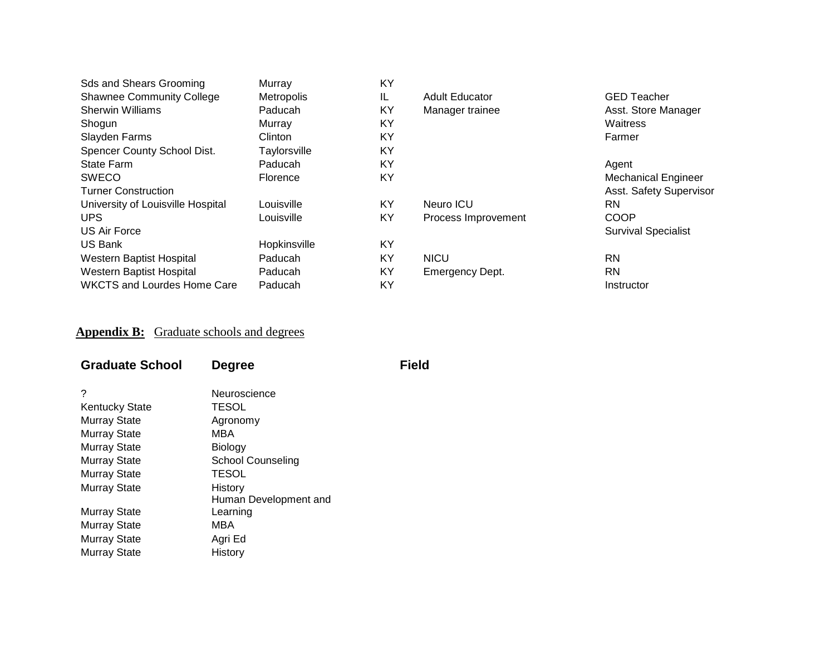| <b>Sds and Shears Grooming</b>     | Murray            | <b>KY</b> |                       |                            |
|------------------------------------|-------------------|-----------|-----------------------|----------------------------|
| <b>Shawnee Community College</b>   | <b>Metropolis</b> | IL        | <b>Adult Educator</b> | <b>GED Teacher</b>         |
| <b>Sherwin Williams</b>            | Paducah           | KY        | Manager trainee       | Asst. Store Manager        |
| Shogun                             | Murray            | KY        |                       | Waitress                   |
| Slayden Farms                      | Clinton           | <b>KY</b> |                       | Farmer                     |
| Spencer County School Dist.        | Taylorsville      | KY        |                       |                            |
| <b>State Farm</b>                  | Paducah           | <b>KY</b> |                       | Agent                      |
| <b>SWECO</b>                       | Florence          | KY        |                       | <b>Mechanical Engineer</b> |
| <b>Turner Construction</b>         |                   |           |                       | Asst. Safety Supervisor    |
| University of Louisville Hospital  | Louisville        | KY        | Neuro ICU             | <b>RN</b>                  |
| <b>UPS</b>                         | Louisville        | KY        | Process Improvement   | <b>COOP</b>                |
| US Air Force                       |                   |           |                       | <b>Survival Specialist</b> |
| <b>US Bank</b>                     | Hopkinsville      | <b>KY</b> |                       |                            |
| Western Baptist Hospital           | Paducah           | KY        | <b>NICU</b>           | <b>RN</b>                  |
| Western Baptist Hospital           | Paducah           | <b>KY</b> | Emergency Dept.       | <b>RN</b>                  |
| <b>WKCTS and Lourdes Home Care</b> | Paducah           | KY        |                       | Instructor                 |

#### **Appendix B:** Graduate schools and degrees

| <b>Graduate School</b> | <b>Degree</b>         | <b>Field</b> |
|------------------------|-----------------------|--------------|
| ?                      | Neuroscience          |              |
| <b>Kentucky State</b>  | TESOL                 |              |
| Murray State           | Agronomy              |              |
| <b>Murray State</b>    | MBA                   |              |
| Murray State           | Biology               |              |
| <b>Murray State</b>    | School Counseling     |              |
| Murray State           | TESOL                 |              |
| <b>Murray State</b>    | History               |              |
|                        | Human Development and |              |
| Murray State           | Learning              |              |
| Murray State           | MBA                   |              |
| <b>Murray State</b>    | Agri Ed               |              |
| <b>Murray State</b>    | History               |              |
|                        |                       |              |